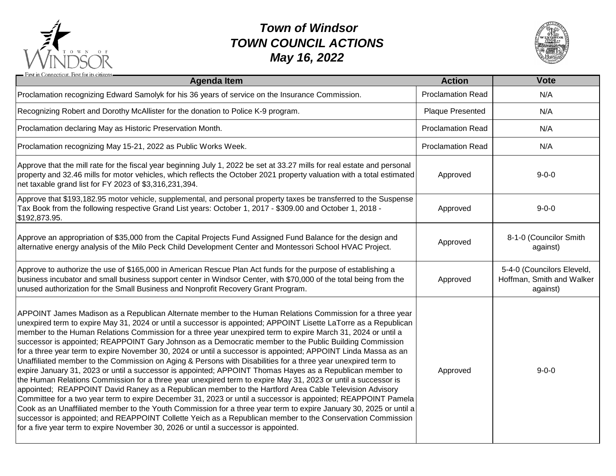

## *Town of Windsor TOWN COUNCIL ACTIONS May 16, 2022*



| - First in Connecticut. First for its citizens<br><b>Agenda Item</b>                                                                                                                                                                                                                                                                                                                                                                                                                                                                                                                                                                                                                                                                                                                                                                                                                                                                                                                                                                                                                                                                                                                                                                                                                                                                                                                                                                                                            | <b>Action</b>            | <b>Vote</b>                                                         |
|---------------------------------------------------------------------------------------------------------------------------------------------------------------------------------------------------------------------------------------------------------------------------------------------------------------------------------------------------------------------------------------------------------------------------------------------------------------------------------------------------------------------------------------------------------------------------------------------------------------------------------------------------------------------------------------------------------------------------------------------------------------------------------------------------------------------------------------------------------------------------------------------------------------------------------------------------------------------------------------------------------------------------------------------------------------------------------------------------------------------------------------------------------------------------------------------------------------------------------------------------------------------------------------------------------------------------------------------------------------------------------------------------------------------------------------------------------------------------------|--------------------------|---------------------------------------------------------------------|
| Proclamation recognizing Edward Samolyk for his 36 years of service on the Insurance Commission.                                                                                                                                                                                                                                                                                                                                                                                                                                                                                                                                                                                                                                                                                                                                                                                                                                                                                                                                                                                                                                                                                                                                                                                                                                                                                                                                                                                | <b>Proclamation Read</b> | N/A                                                                 |
| Recognizing Robert and Dorothy McAllister for the donation to Police K-9 program.                                                                                                                                                                                                                                                                                                                                                                                                                                                                                                                                                                                                                                                                                                                                                                                                                                                                                                                                                                                                                                                                                                                                                                                                                                                                                                                                                                                               | Plaque Presented         | N/A                                                                 |
| Proclamation declaring May as Historic Preservation Month.                                                                                                                                                                                                                                                                                                                                                                                                                                                                                                                                                                                                                                                                                                                                                                                                                                                                                                                                                                                                                                                                                                                                                                                                                                                                                                                                                                                                                      | <b>Proclamation Read</b> | N/A                                                                 |
| Proclamation recognizing May 15-21, 2022 as Public Works Week.                                                                                                                                                                                                                                                                                                                                                                                                                                                                                                                                                                                                                                                                                                                                                                                                                                                                                                                                                                                                                                                                                                                                                                                                                                                                                                                                                                                                                  | <b>Proclamation Read</b> | N/A                                                                 |
| Approve that the mill rate for the fiscal year beginning July 1, 2022 be set at 33.27 mills for real estate and personal<br>property and 32.46 mills for motor vehicles, which reflects the October 2021 property valuation with a total estimated<br>net taxable grand list for FY 2023 of \$3,316,231,394.                                                                                                                                                                                                                                                                                                                                                                                                                                                                                                                                                                                                                                                                                                                                                                                                                                                                                                                                                                                                                                                                                                                                                                    | Approved                 | $9 - 0 - 0$                                                         |
| Approve that \$193,182.95 motor vehicle, supplemental, and personal property taxes be transferred to the Suspense<br>Tax Book from the following respective Grand List years: October 1, 2017 - \$309.00 and October 1, 2018 -<br>\$192,873.95.                                                                                                                                                                                                                                                                                                                                                                                                                                                                                                                                                                                                                                                                                                                                                                                                                                                                                                                                                                                                                                                                                                                                                                                                                                 | Approved                 | $9 - 0 - 0$                                                         |
| Approve an appropriation of \$35,000 from the Capital Projects Fund Assigned Fund Balance for the design and<br>alternative energy analysis of the Milo Peck Child Development Center and Montessori School HVAC Project.                                                                                                                                                                                                                                                                                                                                                                                                                                                                                                                                                                                                                                                                                                                                                                                                                                                                                                                                                                                                                                                                                                                                                                                                                                                       | Approved                 | 8-1-0 (Councilor Smith<br>against)                                  |
| Approve to authorize the use of \$165,000 in American Rescue Plan Act funds for the purpose of establishing a<br>business incubator and small business support center in Windsor Center, with \$70,000 of the total being from the<br>unused authorization for the Small Business and Nonprofit Recovery Grant Program.                                                                                                                                                                                                                                                                                                                                                                                                                                                                                                                                                                                                                                                                                                                                                                                                                                                                                                                                                                                                                                                                                                                                                         | Approved                 | 5-4-0 (Councilors Eleveld,<br>Hoffman, Smith and Walker<br>against) |
| APPOINT James Madison as a Republican Alternate member to the Human Relations Commission for a three year<br>unexpired term to expire May 31, 2024 or until a successor is appointed; APPOINT Lisette LaTorre as a Republican<br>member to the Human Relations Commission for a three year unexpired term to expire March 31, 2024 or until a<br>successor is appointed; REAPPOINT Gary Johnson as a Democratic member to the Public Building Commission<br>for a three year term to expire November 30, 2024 or until a successor is appointed; APPOINT Linda Massa as an<br>Unaffiliated member to the Commission on Aging & Persons with Disabilities for a three year unexpired term to<br>expire January 31, 2023 or until a successor is appointed; APPOINT Thomas Hayes as a Republican member to<br>the Human Relations Commission for a three year unexpired term to expire May 31, 2023 or until a successor is<br>appointed; REAPPOINT David Raney as a Republican member to the Hartford Area Cable Television Advisory<br>Committee for a two year term to expire December 31, 2023 or until a successor is appointed; REAPPOINT Pamela<br>Cook as an Unaffiliated member to the Youth Commission for a three year term to expire January 30, 2025 or until a<br>successor is appointed; and REAPPOINT Collette Yeich as a Republican member to the Conservation Commission<br>for a five year term to expire November 30, 2026 or until a successor is appointed. | Approved                 | $9 - 0 - 0$                                                         |